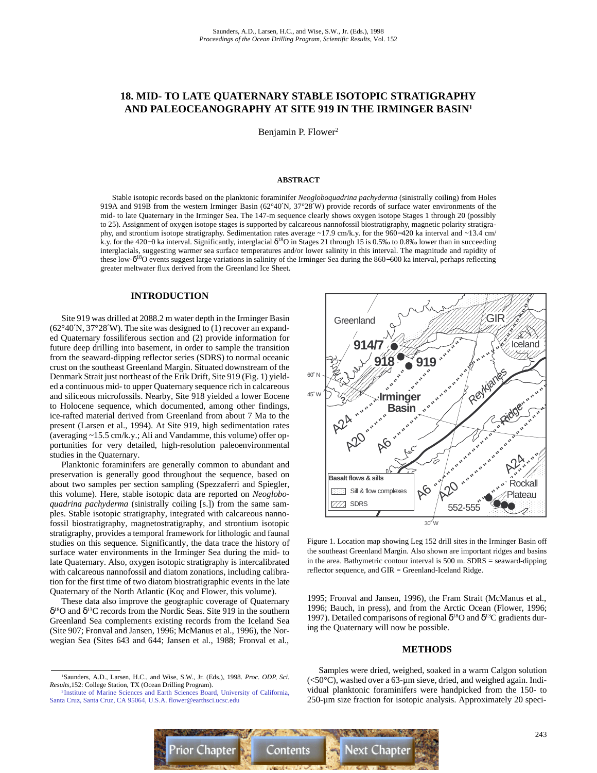# **18. MID- TO LATE QUATERNARY STABLE ISOTOPIC STRATIGRAPHY AND PALEOCEANOGRAPHY AT SITE 919 IN THE IRMINGER BASIN1**

Benjamin P. Flower<sup>2</sup>

#### **ABSTRACT**

Stable isotopic records based on the planktonic foraminifer *Neogloboquadrina pachyderma* (sinistrally coiling) from Holes 919A and 919B from the western Irminger Basin (62°40′N, 37°28′W) provide records of surface water environments of the mid- to late Quaternary in the Irminger Sea. The 147-m sequence clearly shows oxygen isotope Stages 1 through 20 (possibly to 25). Assignment of oxygen isotope stages is supported by calcareous nannofossil biostratigraphy, magnetic polarity stratigraphy, and strontium isotope stratigraphy. Sedimentation rates average ~17.9 cm/k.y. for the 960−420 ka interval and ~13.4 cm/ k.y. for the 420–0 ka interval. Significantly, interglacial  $\delta^{18}$ O in Stages 21 through 15 is 0.5‰ to 0.8‰ lower than in succeeding interglacials, suggesting warmer sea surface temperatures and/or lower salinity in this interval. The magnitude and rapidity of these low-δ18O events suggest large variations in salinity of the Irminger Sea during the 860−600 ka interval, perhaps reflecting greater meltwater flux derived from the Greenland Ice Sheet.

#### **INTRODUCTION**

Site 919 was drilled at 2088.2 m water depth in the Irminger Basin (62°40′N, 37°28′W). The site was designed to (1) recover an expanded Quaternary fossiliferous section and (2) provide information for future deep drilling into basement, in order to sample the transition from the seaward-dipping reflector series (SDRS) to normal oceanic crust on the southeast Greenland Margin. Situated downstream of the Denmark Strait just northeast of the Erik Drift, Site 919 (Fig. 1) yielded a continuous mid- to upper Quaternary sequence rich in calcareous and siliceous microfossils. Nearby, Site 918 yielded a lower Eocene to Holocene sequence, which documented, among other findings, ice-rafted material derived from Greenland from about 7 Ma to the present (Larsen et al., 1994). At Site 919, high sedimentation rates (averaging ~15.5 cm/k.y.; Ali and Vandamme, this volume) offer opportunities for very detailed, high-resolution paleoenvironmental studies in the Quaternary.

Planktonic foraminifers are generally common to abundant and preservation is generally good throughout the sequence, based on about two samples per section sampling (Spezzaferri and Spiegler, this volume). Here, stable isotopic data are reported on *Neogloboquadrina pachyderma* (sinistrally coiling [s.]) from the same samples. Stable isotopic stratigraphy, integrated with calcareous nannofossil biostratigraphy, magnetostratigraphy, and strontium isotopic stratigraphy, provides a temporal framework for lithologic and faunal studies on this sequence. Significantly, the data trace the history of surface water environments in the Irminger Sea during the mid- to late Quaternary. Also, oxygen isotopic stratigraphy is intercalibrated with calcareous nannofossil and diatom zonations, including calibration for the first time of two diatom biostratigraphic events in the late Quaternary of the North Atlantic (Koç and Flower, this volume).

These data also improve the geographic coverage of Quaternary δ18O and δ13C records from the Nordic Seas. Site 919 in the southern Greenland Sea complements existing records from the Iceland Sea (Site 907; Fronval and Jansen, 1996; McManus et al., 1996), the Norwegian Sea (Sites 643 and 644; Jansen et al., 1988; Fronval et al.,



Figure 1. Location map showing Leg 152 drill sites in the Irminger Basin off the southeast Greenland Margin. Also shown are important ridges and basins in the area. Bathymetric contour interval is 500 m. SDRS = seaward-dipping reflector sequence, and GIR = Greenland-Iceland Ridge.

1995; Fronval and Jansen, 1996), the Fram Strait (McManus et al., 1996; Bauch, in press), and from the Arctic Ocean (Flower, 1996; 1997). Detailed comparisons of regional  $δ<sup>18</sup>O$  and  $δ<sup>13</sup>C$  gradients during the Quaternary will now be possible.

#### **METHODS**

Samples were dried, weighed, soaked in a warm Calgon solution  $(<50^{\circ}$ C), washed over a 63-µm sieve, dried, and weighed again. Individual planktonic foraminifers were handpicked from the 150- to 250-µm size fraction for isotopic analysis. Approximately 20 speci-



<sup>1</sup>Saunders, A.D., Larsen, H.C., and Wise, S.W., Jr. (Eds.), 1998. *Proc. ODP, Sci. Results,*152: College Station, TX (Ocean Drilling Program).

<sup>2</sup> [Institute of Marine Sciences and Earth Sciences Board, University of California,](mailto:flower@earthsci.ucsc.edu) Santa Cruz, Santa Cruz, CA 95064, U.S.A. flower@earthsci.ucsc.edu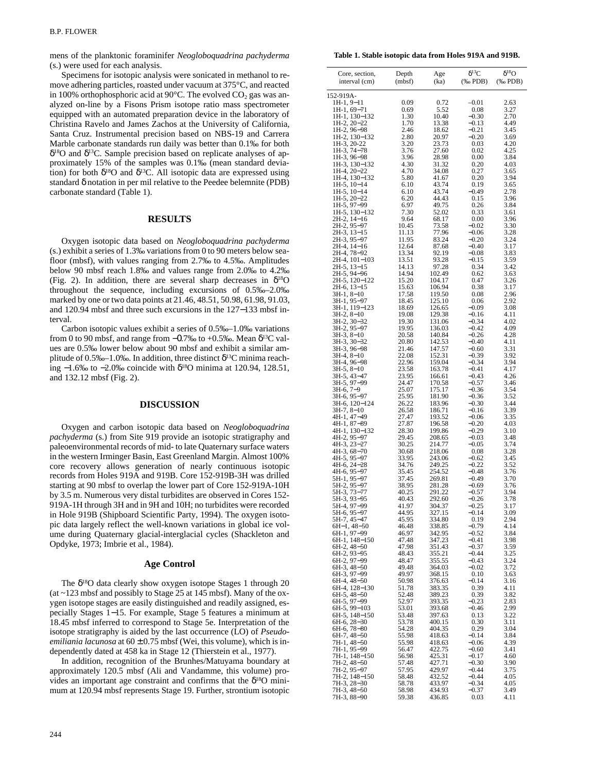mens of the planktonic foraminifer *Neogloboquadrina pachyderma* (s.) were used for each analysis.

Specimens for isotopic analysis were sonicated in methanol to remove adhering particles, roasted under vacuum at 375°C, and reacted in 100% orthophosphoric acid at 90 $^{\circ}$ C. The evolved CO<sub>2</sub> gas was analyzed on-line by a Fisons Prism isotope ratio mass spectrometer equipped with an automated preparation device in the laboratory of Christina Ravelo and James Zachos at the University of California, Santa Cruz. Instrumental precision based on NBS-19 and Carrera Marble carbonate standards run daily was better than 0.1‰ for both  $\delta^{18}$ O and  $\delta^{13}$ C. Sample precision based on replicate analyses of approximately 15% of the samples was 0.1‰ (mean standard deviation) for both  $\delta^{18}O$  and  $\delta^{13}C$ . All isotopic data are expressed using standard δ notation in per mil relative to the Peedee belemnite (PDB) carbonate standard (Table 1).

# **RESULTS**

Oxygen isotopic data based on *Neogloboquadrina pachyderma* (s.) exhibit a series of 1.3‰ variations from 0 to 90 meters below seafloor (mbsf), with values ranging from 2.7‰ to 4.5‰. Amplitudes below 90 mbsf reach 1.8‰ and values range from 2.0‰ to 4.2‰ (Fig. 2). In addition, there are several sharp decreases in  $\delta^{18}O$ throughout the sequence, including excursions of 0.5‰–2.0‰ marked by one or two data points at 21.46, 48.51, 50.98, 61.98, 91.03, and 120.94 mbsf and three such excursions in the 127−133 mbsf interval.

Carbon isotopic values exhibit a series of 0.5‰–1.0‰ variations from 0 to 90 mbsf, and range from  $-0.7\%$  to  $+0.5\%$ . Mean  $\delta^{13}C$  values are 0.5‰ lower below about 90 mbsf and exhibit a similar amplitude of 0.5‰–1.0‰. In addition, three distinct  $\delta^{13}C$  minima reaching −1.6‰ to −2.0‰ coincide with  $\delta^{18}$ O minima at 120.94, 128.51, and 132.12 mbsf (Fig. 2).

# **DISCUSSION**

Oxygen and carbon isotopic data based on *Neogloboquadrina pachyderma* (s.) from Site 919 provide an isotopic stratigraphy and paleoenvironmental records of mid- to late Quaternary surface waters in the western Irminger Basin, East Greenland Margin. Almost 100% core recovery allows generation of nearly continuous isotopic records from Holes 919A and 919B. Core 152-919B-3H was drilled starting at 90 mbsf to overlap the lower part of Core 152-919A-10H by 3.5 m. Numerous very distal turbidites are observed in Cores 152- 919A-1H through 3H and in 9H and 10H; no turbidites were recorded in Hole 919B (Shipboard Scientific Party, 1994). The oxygen isotopic data largely reflect the well-known variations in global ice volume during Quaternary glacial-interglacial cycles (Shackleton and Opdyke, 1973; Imbrie et al., 1984).

# **Age Control**

The  $\delta^{18}$ O data clearly show oxygen isotope Stages 1 through 20 (at ~123 mbsf and possibly to Stage 25 at 145 mbsf). Many of the oxygen isotope stages are easily distinguished and readily assigned, especially Stages 1−15. For example, Stage 5 features a minimum at 18.45 mbsf inferred to correspond to Stage 5e. Interpretation of the isotope stratigraphy is aided by the last occurrence (LO) of *Pseudoemiliania lacunosa* at  $60 \pm 0.75$  mbsf (Wei, this volume), which is independently dated at 458 ka in Stage 12 (Thierstein et al., 1977).

In addition, recognition of the Brunhes/Matuyama boundary at approximately 120.5 mbsf (Ali and Vandamme, this volume) provides an important age constraint and confirms that the  $\delta^{18}O$  minimum at 120.94 mbsf represents Stage 19. Further, strontium isotopic

| Core, section,<br>interval (cm) | Depth<br>(mbsf) | Age<br>(ka)      | $\delta^{13}\mathrm{C}$<br>(‰ PDB) | $\delta^{18}O$<br>$(% \mathbf{A})$ (‰ PDB) |
|---------------------------------|-----------------|------------------|------------------------------------|--------------------------------------------|
| 152-919A-                       |                 |                  |                                    |                                            |
| 1H-1, 9-11                      | 0.09            | 0.72             | $-0.01$                            | 2.63                                       |
| 1H-1, 69–71                     | 0.69<br>1.30    | 5.52<br>10.40    | 0.08<br>$-0.30$                    | 3.27<br>2.70                               |
| 1H-1, 130-132<br>1H-2, 20-22    | 1.70            | 13.38            | $-0.13$                            | 4.49                                       |
| 1H-2, 96–98                     | 2.46            | 18.62            | $-0.21$                            | 3.45                                       |
| 1H-2, 130-132<br>$1H-3$ , 20-22 | 2.80<br>3.20    | 20.97<br>23.73   | $-0.20$<br>0.03                    | 3.69<br>4.20                               |
| 1H-3, 74–78                     | 3.76            | 27.60            | 0.02                               | 4.25                                       |
| 1H-3, 96-98<br>1H-3, 130–132    | 3.96<br>4.30    | 28.98<br>31.32   | 0.00<br>0.20                       | 3.84<br>4.03                               |
| 1H-4, 20–22                     | 4.70            | 34.08            | 0.27                               | 3.65                                       |
| 1H-4, 130-132                   | 5.80            | 41.67            | 0.20                               | 3.94                                       |
| $1H-5$ , $10-14$<br>1H-5, 10–14 | 6.10<br>6.10    | 43.74<br>43.74   | 0.19<br>$-0.49$                    | 3.65<br>2.78                               |
| 1H-5, 20-22                     | 6.20            | 44.43            | 0.15                               | 3.96                                       |
| 1H-5, 97-99                     | 6.97            | 49.75            | 0.26                               | 3.84                                       |
| 1H-5, 130–132<br>2H-2, 14-16    | 7.30<br>9.64    | 52.02<br>68.17   | 0.33<br>0.00                       | 3.61<br>3.96                               |
| 2H-2, 95-97                     | 10.45           | 73.58            | $-0.02$                            | 3.30                                       |
| $2H-3$ , $13-15$<br>2H-3, 95–97 | 11.13<br>11.95  | 77.96<br>83.24   | $-0.06$<br>$-0.20$                 | 3.28<br>3.24                               |
| 2H-4, 14–16                     | 12.64           | 87.68            | $-0.40$                            | 3.17                                       |
| 2H-4, 78–92                     | 13.34           | 92.19            | $-0.08$                            | 3.83                                       |
| 2H-4, 101-103<br>2H-5, 13–15    | 13.51<br>14.13  | 93.28<br>97.28   | $-0.15$<br>0.34                    | 3.59<br>3.42                               |
| 2H-5, 94–96                     | 14.94           | 102.49           | 0.62                               | 3.63                                       |
| 2H-5, 120–122                   | 15.20           | 104.17           | 0.47                               | 3.26                                       |
| 2H-6, 13–15<br>$3H-1, 8-10$     | 15.63<br>17.58  | 106.94<br>119.50 | 0.38<br>0.08                       | 3.17<br>2.96                               |
| 3H-1, 95–97                     | 18.45           | 125.10           | 0.06                               | 2.92                                       |
| 3H-1, 119–123                   | 18.69<br>19.08  | 126.65           | $-0.09$                            | 3.08                                       |
| 3H-2, 8–10<br>3H-2, 30–32       | 19.30           | 129.38<br>131.06 | $-0.16$<br>$-0.34$                 | 4.11<br>4.02                               |
| 3H-2, 95-97                     | 19.95           | 136.03           | $-0.42$                            | 4.09                                       |
| $3H-3, 8-10$<br>3H-3, 30–32     | 20.58<br>20.80  | 140.84<br>142.53 | $-0.26$<br>$-0.40$                 | 4.28<br>4.11                               |
| 3H-3, 96-98                     | 21.46           | 147.57           | $-0.60$                            | 3.31                                       |
| 3H-4, 8–10                      | 22.08           | 152.31           | $-0.39$                            | 3.92                                       |
| 3H-4, 96–98<br>$3H-5, 8-10$     | 22.96<br>23.58  | 159.04<br>163.78 | $-0.34$<br>$-0.41$                 | 3.94<br>4.17                               |
| 3H-5, 43–47                     | 23.95           | 166.61           | $-0.43$                            | 4.26                                       |
| 3H-5, 97–99<br>$3H-6, 7-9$      | 24.47           | 170.58           | $-0.57$                            | 3.46                                       |
| 3H-6, 95-97                     | 25.07<br>25.95  | 175.17<br>181.90 | $-0.36$<br>$-0.36$                 | 3.54<br>3.52                               |
| 3H-6, 120–124                   | 26.22           | 183.96           | $-0.30$                            | 3.44                                       |
| $3H-7, 8-10$<br>4H-1, 47–49     | 26.58<br>27.47  | 186.71<br>193.52 | $-0.16$<br>$-0.06$                 | 3.39<br>3.35                               |
| 4H-1, 87-89                     | 27.87           | 196.58           | $-0.20$                            | 4.03                                       |
| 4H-1, 130–132                   | 28.30           | 199.86           | $-0.29$                            | 3.10                                       |
| 4H-2, 95–97<br>4H-3, 23-27      | 29.45<br>30.25  | 208.65<br>214.77 | $-0.03$<br>$-0.05$                 | 3.48<br>3.74                               |
| 4H-3, 68-70                     | 30.68           | 218.06           | 0.08                               | 3.28                                       |
| 4H-5, 95–97<br>4H-6, 24-28      | 33.95<br>34.76  | 243.06<br>249.25 | $-0.62$<br>$-0.22$                 | 3.45<br>3.52                               |
| 4H-6, 95-97                     | 35.45           | 254.52           | $-0.48$                            | 3.76                                       |
| 5H-1, 95-97                     | 37.45           | 269.81           | $-0.49$                            | 3.70                                       |
| 5H-2, 95-97<br>5H-3, 73-77      | 38.95<br>40.25  | 281.28<br>291.22 | $-0.69$<br>$-0.57$                 | 3.76<br>3.94                               |
| 5H-3, 93-95                     | 40.43           | 292.60           | $-0.26$                            | 3.78                                       |
| 5H-4, 97–99                     | 41.97           | 304.37           | $-0.25$                            | 3.17                                       |
| 5H-6, 95-97<br>5H-7, 45–47      | 44.95<br>45.95  | 327.15<br>334.80 | $-0.14$<br>0.19                    | 3.09<br>2.94                               |
| $6H-1, 48-50$                   | 46.48           | 338.85           | $-0.79$                            | 4.14                                       |
| 6H-1, 97-99<br>6H-1, 148–150    | 46.97<br>47.48  | 342.95<br>347.23 | $-0.52$<br>$-0.41$                 | 3.84<br>3.98                               |
| 6H-2, 48-50                     | 47.98           | 351.43           | $-0.37$                            | 3.59                                       |
| 6H-2, 93-95                     | 48.43           | 355.21           | $-0.44$                            | 3.25                                       |
| 6H-2, 97–99<br>$6H-3, 48-50$    | 48.47<br>49.48  | 355.55<br>364.03 | $-0.43$<br>$-0.02$                 | 3.24<br>3.72                               |
| 6H-3, 97-99                     | 49.97           | 368.15           | 0.10                               | 3.63                                       |
| 6H-4, 48-50                     | 50.98           | 376.63           | $-0.14$                            | 3.16                                       |
| 6H-4, 128-130<br>$6H-5, 48-50$  | 51.78<br>52.48  | 383.35<br>389.23 | 0.39<br>0.39                       | 4.11<br>3.82                               |
| 6H-5, 97–99                     | 52.97           | 393.35           | $-0.23$                            | 2.83                                       |
| 6H-5, 99-103                    | 53.01           | 393.68           | $-0.46$                            | 2.99<br>3.22                               |
| 6H-5, 148–150<br>6H-6, 28–30    | 53.48<br>53.78  | 397.63<br>400.15 | 0.13<br>0.30                       | 3.11                                       |
| 6H-6, 78-80                     | 54.28           | 404.35           | 0.29                               | 3.04                                       |
| 6H-7, 48-50<br>7H-1, 48–50      | 55.98<br>55.98  | 418.63<br>418.63 | $-0.14$<br>$-0.06$                 | 3.84<br>4.39                               |
| 7H-1, 95-99                     | 56.47           | 422.75           | $-0.60$                            | 3.41                                       |
| 7H-1, 148-150                   | 56.98           | 425.31           | $-0.17$                            | 4.60                                       |
| 7H-2, 48-50<br>7H-2, 95-97      | 57.48<br>57.95  | 427.71<br>429.97 | $-0.30$<br>$-0.44$                 | 3.90<br>3.75                               |
| 7H-2, 148–150                   | 58.48           | 432.52           | $-0.44$                            | 4.05                                       |
| 7H-3, 28–30                     | 58.78           | 433.97           | $-0.34$                            | 4.05                                       |
| 7H-3, 48–50<br>7H-3.88–90       | 58.98<br>59.38  | 434.93<br>436.85 | $-0.37$<br>0.03                    | 3.49<br>4.11                               |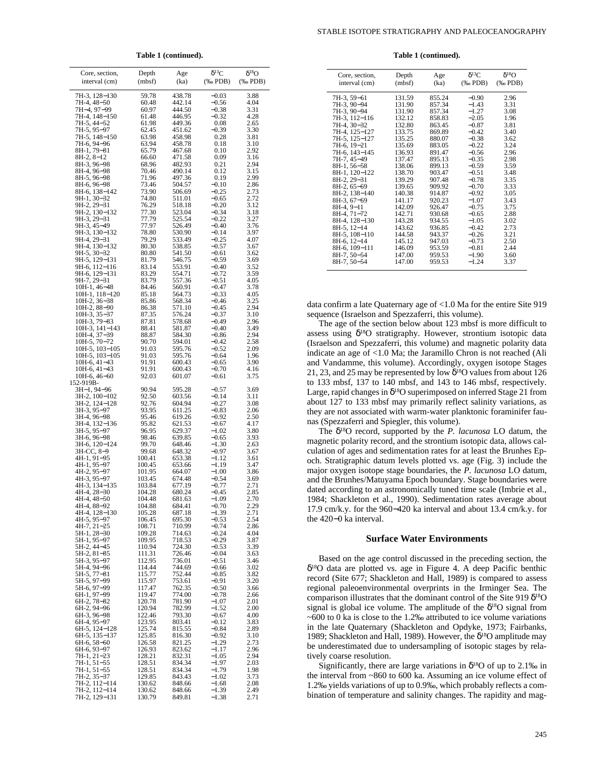STABLE ISOTOPE STRATIGRAPHY AND PALEOCEANOGRAPHY

Table 1 (continued).

| Core, section,                   | Depth            | Age              | $\delta^{13}\rm C$       | $\delta^{18}O$           |
|----------------------------------|------------------|------------------|--------------------------|--------------------------|
| interval (cm)                    | (mbf)            | (ka)             | $(% \mathbf{A})$ (% PDB) | $(% \mathbf{A})$ (% PDB) |
|                                  |                  |                  |                          |                          |
| 7H-3, 128-130                    | 59.78            | 438.78           | $-0.03$                  | 3.88                     |
| 7H-4, 48–50<br>7H-4, 97-99       | 60.48<br>60.97   | 442.14<br>444.50 | $-0.56$<br>$-0.38$       | 4.04<br>3.31             |
| 7H-4, 148-150                    | 61.48            | 446.95           | $-0.32$                  | 4.28                     |
| 7H-5, 44–52                      | 61.98            | 449.36           | 0.08                     | 2.65                     |
| 7H-5, 95-97                      | 62.45            | 451.62           | $-0.39$                  | 3.30                     |
| 7H-5, 148–150                    | 63.98<br>63.94   | 458.98<br>458.78 | 0.28<br>0.18             | 3.81<br>3.10             |
| 7H-6, 94–96<br>8H-1, 79–81       | 65.79            | 467.68           | 0.10                     | 2.92                     |
| 8H-2, 8–12                       | 66.60            | 471.58           | 0.09                     | 3.16                     |
| 8H-3, 96-98                      | 68.96            | 482.93           | 0.21                     | 2.94                     |
| 8H-4, 96-98<br>8H-5, 96–98       | 70.46<br>71.96   | 490.14<br>497.36 | 0.12<br>0.19             | 3.15<br>2.99             |
| 8H-6, 96–98                      | 73.46            | 504.57           | $-0.10$                  | 2.86                     |
| 8H-6, 138–142                    | 73.90            | 506.69           | $-0.25$                  | 2.73                     |
| 9H-1, 30-32                      | 74.80            | 511.01           | $-0.65$                  | 2.72                     |
| 9H-2, 29-31                      | 76.29            | 518.18           | $-0.20$                  | 3.12                     |
| 9H-2, 130-132<br>9H-3, 29-31     | 77.30<br>77.79   | 523.04<br>525.54 | $-0.34$<br>$-0.22$       | 3.18<br>3.27             |
| 9H-3, 45-49                      | 77.97            | 526.49           | $-0.40$                  | 3.76                     |
| 9H-3, 130-132                    | 78.80            | 530.90           | $-0.14$                  | 3.97                     |
| 9H-4, 29-31                      | 79.29            | 533.49           | $-0.25$                  | 4.07                     |
| 9H-4, 130-132<br>9H-5, 30-32     | 80.30<br>80.80   | 538.85<br>541.50 | $-0.57$<br>$-0.61$       | 3.67<br>3.62             |
| 9H-5, 129–131                    | 81.79            | 546.75           | $-0.59$                  | 3.69                     |
| 9H-6, 112-116                    | 83.14            | 553.91           | $-0.40$                  | 3.52                     |
| 9H-6, 129-131                    | 83.29            | 554.71           | $-0.72$                  | 3.59                     |
| 9H-7, 29–31<br>10H-1, 46-48      | 83.79<br>84.46   | 557.36<br>560.91 | $-0.51$<br>$-0.47$       | 4.05<br>3.78             |
| 10H-1, 118-120                   | 85.18            | 564.73           | $-0.33$                  | 4.05                     |
| 10H-2, 36-38                     | 85.86            | 568.34           | -0.46                    | 3.25                     |
| 10H-2, 88-90                     | 86.38            | 571.10           | $-0.45$                  | 2.94                     |
| 10H-3, 35-37<br>10H-3, 79–83     | 87.35<br>87.81   | 576.24<br>578.68 | $-0.37$<br>$-0.49$       | 3.10<br>2.96             |
| 10H-3, 141-143                   | 88.41            | 581.87           | $-0.40$                  | 3.49                     |
| 10H-4, 37-39                     | 88.87            | 584.30           | $-0.86$                  | 2.94                     |
| 10H-5, 70–72                     | 90.70            | 594.01           | $-0.42$                  | 2.58                     |
| 10H-5, 103-105<br>10H-5, 103-105 | 91.03<br>91.03   | 595.76<br>595.76 | $-0.52$<br>$-0.64$       | 2.09<br>1.96             |
| 10H-6, 41–43                     | 91.91            | 600.43           | $-0.65$                  | 3.90                     |
| 10H-6, 41-43                     | 91.91            | 600.43           | $-0.70$                  | 4.16                     |
| $10H-6, 46-60$                   | 92.03            | 601.07           | $-0.61$                  | 3.75                     |
| 152-919B-<br>3H-1, 94-96         | 90.94            | 595.28           | $-0.57$                  | 3.69                     |
| 3H-2, 100-102                    | 92.50            | 603.56           | $-0.14$                  | 3.11                     |
| 3H-2, 124–128                    | 92.76            | 604.94           | $-0.27$                  | 3.08                     |
| 3H-3, 95–97                      | 93.95            | 611.25           | $-0.83$                  | 2.06                     |
| 3H-4, 96-98<br>3H-4, 132–136     | 95.46<br>95.82   | 619.26<br>621.53 | $-0.92$<br>$-0.67$       | 2.50<br>4.17             |
| 3H-5, 95–97                      | 96.95            | 629.37           | $-1.02$                  | 3.80                     |
| 3H-6, 96-98                      | 98.46            | 639.85           | $-0.65$                  | 3.93                     |
| 3H-6, 120–124                    | 99.70            | 648.46           | $-1.30$                  | 2.63                     |
| 3H-CC, 8-9<br>4H-1, 91-95        | 99.68<br>100.41  | 648.32<br>653.38 | $-0.97$<br>$-1.12$       | 3.67<br>3.61             |
| 4H-1, 95–97                      | 100.45           | 653.66           | –1.19                    | 3.47                     |
| 4H-2, 95-97                      | 101.95           | 664.07           | $-1.00$                  | 3.86                     |
| 4H-3, 95-97                      | 103.45           | 674.48           | $-0.54$                  | 3.69                     |
| 4H-3, 134-135<br>4H-4, 28-30     | 103.84<br>104.28 | 677.19<br>680.24 | $-0.77$<br>$-0.45$       | 2.71<br>2.85             |
| 4H-4, 48-50                      | 104.48           | 681.63           | $-1.09$                  | 2.70                     |
| 4H-4, 88–92                      | 104.88           | 684.41           | $-0.70$                  | 2.29                     |
| 4H-4, 128-130                    | 105.28           | 687.18           | $-1.39$                  | 2.71                     |
| 4H-5, 95-97<br>4H-7, 21-25       | 106.45<br>108.71 | 695.30<br>710.99 | $-0.53$<br>$-0.74$       | 2.54<br>2.86             |
| 5H-1, 28–30                      | 109.28           | 714.63           | $-0.24$                  | 4.04                     |
| 5H-1, 95–97                      | 109.95           | 718.53           | $-0.29$                  | 3.87                     |
| 5H-2, 44–45                      | 110.94           | 724.30           | $-0.53$                  | 3.39                     |
| 5H-2, 81-85<br>5H-3, 95–97       | 111.31<br>112.95 | 726.46<br>736.01 | $-0.04$<br>$-0.51$       | 3.63<br>3.46             |
| 5H-4, 94–96                      | 114.44           | 744.69           | $-0.66$                  | 3.02                     |
| 5H-5, 77–81<br>5H-5, 97–99       | 115.77           | 752.44           | $-0.85$                  | 3.82                     |
| 5H-6, 97–99                      | 115.97           | 753.61           | $-0.91$<br>$-0.50$       | 3.20                     |
|                                  | 117.47<br>119.47 | 762.35<br>774.00 | $-0.78$                  | 3.66<br>2.66             |
| 6H-1, 97-99<br>6H-2, 78-82       | 120.78           | 781.90           | $-1.07$                  | 2.01                     |
| 6H-2, 94–96                      | 120.94           | 782.99           | -1.52                    | 2.00                     |
| 6H-3, 96-98<br>6H-4, 95-97       | 122.46<br>123.95 | 793.30<br>803.41 | $-0.67$<br>$-0.12$       | 4.00<br>3.83             |
| 6H-5, 124–128                    | 125.74           | 815.55           | $-0.84$                  | 2.89                     |
| 6H-5, 135-137                    | 125.85           | 816.30           | $-0.92$                  | 3.10                     |
| 6H-6, 58-60                      | 126.58           | 821.25           | $-1.29$                  | 2.73                     |
| 6H-6, 93–97<br>7H-1, 21-23       | 126.93<br>128.21 | 823.62<br>832.31 | -1.17<br>$-1.05$         | 2.96<br>2.94             |
| 7H-1, 51–55                      | 128.51           | 834.34           | –1.97                    | 2.03                     |
| 7H-1, 51–55                      | 128.51           | 834.34           | -1.79                    | 1.98                     |
| 7H-2, 35-37                      | 129.85           | 843.43           | $-1.02$                  | 3.73                     |
| 7H-2, 112–114<br>7H-2, 112–114   | 130.62<br>130.62 | 848.66<br>848.66 | $-1.68$<br>–1.39         | 2.08<br>2.49             |
| 7H-2, 129–131                    | 130.79           | 849.81           | $-1.38$                  | 2.71                     |

Table 1 (continued).

| 7H-3, 59-61<br>131.59<br>855.24<br>$-0.90$<br>2.96<br>$-1.43$<br>7H-3, 90-94<br>131.90<br>857.34<br>3.31<br>7H-3, 90-94<br>131.90<br>857.34<br>$-1.27$<br>3.08 | $\delta^{18}O$<br>$(\%$ PDB) |
|----------------------------------------------------------------------------------------------------------------------------------------------------------------|------------------------------|
|                                                                                                                                                                |                              |
|                                                                                                                                                                |                              |
|                                                                                                                                                                |                              |
| 7H-3, 112-116<br>132.12<br>858.83<br>$-2.05$<br>1.96                                                                                                           |                              |
| 7H-4, 30-32<br>132.80<br>863.45<br>$-0.87$<br>3.81                                                                                                             |                              |
| 7H-4, 125-127<br>133.75<br>869.89<br>$-0.42$<br>3.40                                                                                                           |                              |
| 7H-5, 125-127<br>135.25<br>880.07<br>$-0.38$<br>3.62                                                                                                           |                              |
| 7H-6, 19-21<br>3.24<br>135.69<br>$-0.22$<br>883.05                                                                                                             |                              |
| 7H-6, 143-145<br>136.93<br>891.47<br>$-0.56$<br>2.96                                                                                                           |                              |
| 7H-7, 45-49<br>137.47<br>$-0.35$<br>2.98<br>895.13                                                                                                             |                              |
| 138.06<br>$-0.59$<br>3.59<br>8H-1, 56-58<br>899.13                                                                                                             |                              |
| 8H-1, 120-122<br>138.70<br>903.47<br>$-0.51$<br>3.48                                                                                                           |                              |
| 8H-2, 29-31<br>907.48<br>$-0.78$<br>3.35<br>139.29                                                                                                             |                              |
| 8H-2, 65-69<br>139.65<br>909.92<br>$-0.70$<br>3.33                                                                                                             |                              |
| 8H-2, 138-140<br>140.38<br>914.87<br>$-0.92$<br>3.05                                                                                                           |                              |
| 8H-3, 67-69<br>920.23<br>$-1.07$<br>3.43<br>141.17                                                                                                             |                              |
| 142.09<br>926.47<br>$-0.75$<br>3.75<br>$8H-4, 9-11$                                                                                                            |                              |
| 8H-4, 71-72<br>142.71<br>930.68<br>2.88<br>$-0.65$                                                                                                             |                              |
| 8H-4, 128-130<br>143.28<br>934.55<br>$-1.05$<br>3.02                                                                                                           |                              |
| 8H-5, 12-14<br>143.62<br>936.85<br>$-0.42$<br>2.73                                                                                                             |                              |
| 8H-5, 108-110<br>144.58<br>943.37<br>$-0.26$<br>3.21                                                                                                           |                              |
| 8H-6, 12-14<br>145.12<br>947.03<br>$-0.73$<br>2.50                                                                                                             |                              |
| 8H-6, 109-111<br>146.09<br>$-0.81$<br>2.44<br>953.59                                                                                                           |                              |
| 8H-7, 50-54<br>147.00<br>959.53<br>$-1.90$<br>3.60                                                                                                             |                              |
| 8H-7, 50-54<br>$-1.24$<br>147.00<br>959.53<br>3.37                                                                                                             |                              |

data confirm a late Quaternary age of <1.0 Ma for the entire Site 919 sequence (Israelson and Spezzaferri, this volume).

The age of the section below about 123 mbsf is more difficult to assess using  $\delta^{18}O$  stratigraphy. However, strontium isotopic data (Israelson and Spezzaferri, this volume) and magnetic polarity data indicate an age of <1.0 Ma; the Jaramillo Chron is not reached (Ali and Vandamme, this volume). Accordingly, oxygen isotope Stages 21, 23, and 25 may be represented by low  $\delta^{18}$ O values from about 126 to 133 mbsf, 137 to 140 mbsf, and 143 to 146 mbsf, respectively. Large, rapid changes in  $\delta^{18}O$  superimposed on inferred Stage 21 from about 127 to 133 mbsf may primarily reflect salinity variations, as they are not associated with warm-water planktonic foraminifer faunas (Spezzaferri and Spiegler, this volume).

The  $\delta^{18}O$  record, supported by the *P. lacunosa* LO datum, the magnetic polarity record, and the strontium isotopic data, allows calculation of ages and sedimentation rates for at least the Brunhes Epoch. Stratigraphic datum levels plotted vs. age (Fig. 3) include the major oxygen isotope stage boundaries, the P. lacunosa LO datum, and the Brunhes/Matuyama Epoch boundary. Stage boundaries were dated according to an astronomically tuned time scale (Imbrie et al., 1984; Shackleton et al., 1990). Sedimentation rates average about 17.9 cm/k.y. for the 960–420 ka interval and about 13.4 cm/k.y. for the 420-0 ka interval.

# **Surface Water Environments**

Based on the age control discussed in the preceding section, the  $\delta^{18}$ O data are plotted vs. age in Figure 4. A deep Pacific benthic record (Site 677; Shackleton and Hall, 1989) is compared to assess regional paleoenvironmental overprints in the Irminger Sea. The comparison illustrates that the dominant control of the Site 919  $\delta^{18}O$ signal is global ice volume. The amplitude of the  $\delta^{18}O$  signal from  $\sim$  600 to 0 ka is close to the 1.2‰ attributed to ice volume variations in the late Quaternary (Shackleton and Opdyke, 1973; Fairbanks, 1989; Shackleton and Hall, 1989). However, the  $\delta^{18}O$  amplitude may be underestimated due to undersampling of isotopic stages by relatively coarse resolution.

Significantly, there are large variations in  $\delta^{18}O$  of up to 2.1‰ in the interval from ~860 to 600 ka. Assuming an ice volume effect of 1.2‰ yields variations of up to 0.9‰, which probably reflects a combination of temperature and salinity changes. The rapidity and mag-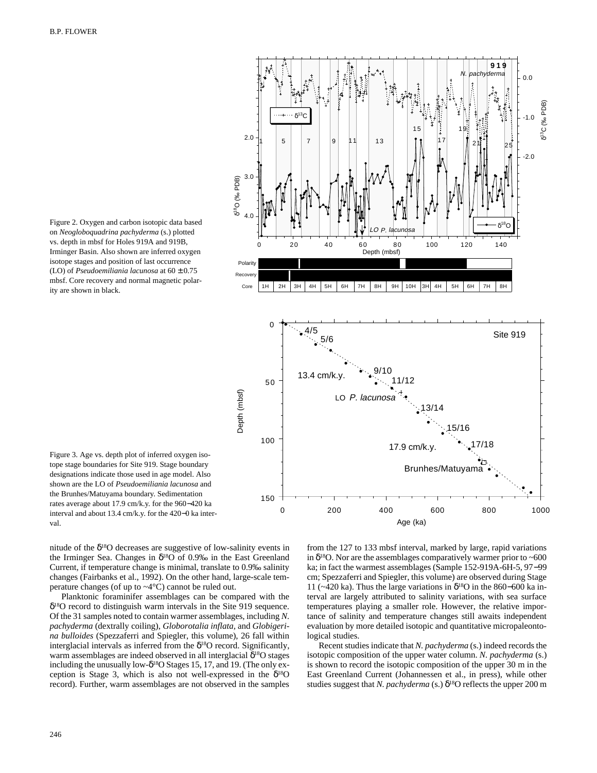

Figure 2. Oxygen and carbon isotopic data based on *Neogloboquadrina pachyderma* (s.) plotted vs. depth in mbsf for Holes 919A and 919B, Irminger Basin. Also shown are inferred oxygen isotope stages and position of last occurrence (LO) of *Pseudoemiliania lacunosa* at 60 ± 0.75 mbsf. Core recovery and normal magnetic polarity are shown in black.

Figure 3. Age vs. depth plot of inferred oxygen isotope stage boundaries for Site 919. Stage boundary designations indicate those used in age model. Also shown are the LO of *Pseudoemiliania lacunosa* and the Brunhes/Matuyama boundary. Sedimentation rates average about 17.9 cm/k.y. for the 960−420 ka interval and about 13.4 cm/k.y. for the 420−0 ka interval.

nitude of the  $\delta^{18}O$  decreases are suggestive of low-salinity events in the Irminger Sea. Changes in  $\delta^{18}O$  of 0.9% in the East Greenland Current, if temperature change is minimal, translate to 0.9‰ salinity changes (Fairbanks et al., 1992). On the other hand, large-scale temperature changes (of up to  $\sim$ 4 $\degree$ C) cannot be ruled out.

Planktonic foraminifer assemblages can be compared with the δ18O record to distinguish warm intervals in the Site 919 sequence. Of the 31 samples noted to contain warmer assemblages, including *N. pachyderma* (dextrally coiling), *Globorotalia inflata,* and *Globigerina bulloides* (Spezzaferri and Spiegler, this volume), 26 fall within interglacial intervals as inferred from the  $\delta^{18}$ O record. Significantly, warm assemblages are indeed observed in all interglacial δ<sup>18</sup>O stages including the unusually low- $\delta^{18}$ O Stages 15, 17, and 19. (The only exception is Stage 3, which is also not well-expressed in the  $\delta^{18}O$ record). Further, warm assemblages are not observed in the samples from the 127 to 133 mbsf interval, marked by large, rapid variations in  $\delta^{18}$ O. Nor are the assemblages comparatively warmer prior to ~600 ka; in fact the warmest assemblages (Sample 152-919A-6H-5, 97−99 cm; Spezzaferri and Spiegler, this volume) are observed during Stage 11 (~420 ka). Thus the large variations in  $\delta^{18}$ O in the 860–600 ka interval are largely attributed to salinity variations, with sea surface temperatures playing a smaller role. However, the relative importance of salinity and temperature changes still awaits independent evaluation by more detailed isotopic and quantitative micropaleontological studies.

Recent studies indicate that *N. pachyderma* (s.) indeed records the isotopic composition of the upper water column. *N. pachyderma* (s.) is shown to record the isotopic composition of the upper 30 m in the East Greenland Current (Johannessen et al., in press), while other studies suggest that *N. pachyderma* (s.)  $\delta^{18}$ O reflects the upper 200 m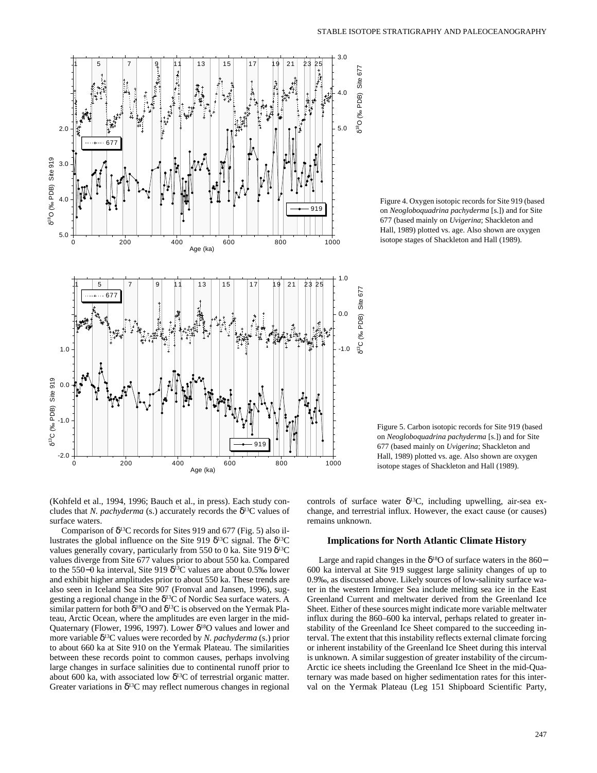

Figure 4. Oxygen isotopic records for Site 919 (based on *Neogloboquadrina pachyderma* [s.]) and for Site 677 (based mainly on *Uvigerina*; Shackleton and Hall, 1989) plotted vs. age. Also shown are oxygen isotope stages of Shackleton and Hall (1989).

Figure 5. Carbon isotopic records for Site 919 (based on *Neogloboquadrina pachyderma* [s.]) and for Site 677 (based mainly on *Uvigerina*; Shackleton and Hall, 1989) plotted vs. age. Also shown are oxygen isotope stages of Shackleton and Hall (1989).

(Kohfeld et al., 1994, 1996; Bauch et al., in press). Each study concludes that *N. pachyderma* (s.) accurately records the  $\delta^{13}C$  values of surface waters.

Comparison of  $\delta^{13}$ C records for Sites 919 and 677 (Fig. 5) also illustrates the global influence on the Site 919 δ<sup>13</sup>C signal. The δ<sup>13</sup>C values generally covary, particularly from 550 to 0 ka. Site 919 δ<sup>13</sup>C values diverge from Site 677 values prior to about 550 ka. Compared to the 550−0 ka interval, Site 919  $\delta^{13}$ C values are about 0.5‰ lower and exhibit higher amplitudes prior to about 550 ka. These trends are also seen in Iceland Sea Site 907 (Fronval and Jansen, 1996), suggesting a regional change in the  $\delta^{13}$ C of Nordic Sea surface waters. A similar pattern for both  $\delta^{18}O$  and  $\delta^{13}C$  is observed on the Yermak Plateau, Arctic Ocean, where the amplitudes are even larger in the mid-Quaternary (Flower, 1996, 1997). Lower  $\delta^{18}$ O values and lower and more variable δ13C values were recorded by *N. pachyderma* (s.) prior to about 660 ka at Site 910 on the Yermak Plateau. The similarities between these records point to common causes, perhaps involving large changes in surface salinities due to continental runoff prior to about 600 ka, with associated low  $\delta^{13}$ C of terrestrial organic matter. Greater variations in  $\delta^{13}$ C may reflect numerous changes in regional controls of surface water  $\delta^{13}C$ , including upwelling, air-sea exchange, and terrestrial influx. However, the exact cause (or causes) remains unknown.

# **Implications for North Atlantic Climate History**

Large and rapid changes in the  $\delta^{18}$ O of surface waters in the 860− 600 ka interval at Site 919 suggest large salinity changes of up to 0.9‰, as discussed above. Likely sources of low-salinity surface water in the western Irminger Sea include melting sea ice in the East Greenland Current and meltwater derived from the Greenland Ice Sheet. Either of these sources might indicate more variable meltwater influx during the 860–600 ka interval, perhaps related to greater instability of the Greenland Ice Sheet compared to the succeeding interval. The extent that this instability reflects external climate forcing or inherent instability of the Greenland Ice Sheet during this interval is unknown. A similar suggestion of greater instability of the circum-Arctic ice sheets including the Greenland Ice Sheet in the mid-Quaternary was made based on higher sedimentation rates for this interval on the Yermak Plateau (Leg 151 Shipboard Scientific Party,